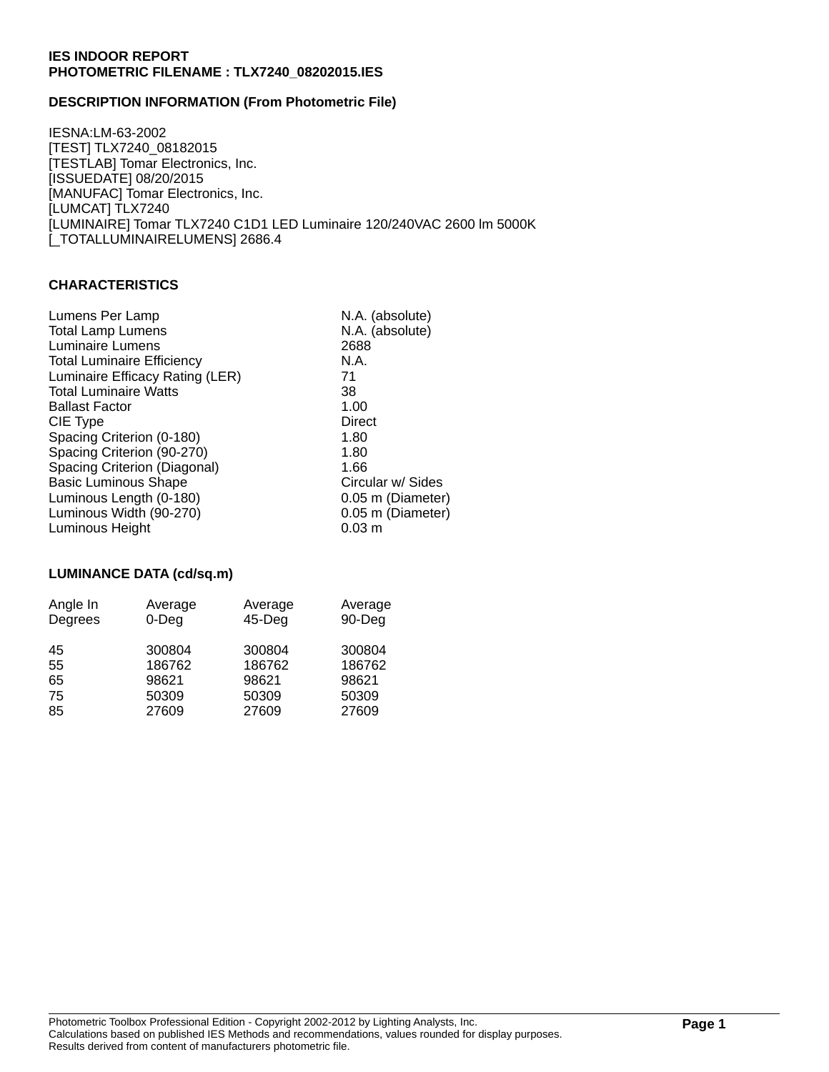# **DESCRIPTION INFORMATION (From Photometric File)**

IESNA:LM-63-2002 [TEST] TLX7240\_08182015 [TESTLAB] Tomar Electronics, Inc. [ISSUEDATE] 08/20/2015 [MANUFAC] Tomar Electronics, Inc. [LUMCAT] TLX7240 [LUMINAIRE] Tomar TLX7240 C1D1 LED Luminaire 120/240VAC 2600 lm 5000K [\_TOTALLUMINAIRELUMENS] 2686.4

#### **CHARACTERISTICS**

| Lumens Per Lamp                   | N.A. (absolute)   |
|-----------------------------------|-------------------|
| <b>Total Lamp Lumens</b>          | N.A. (absolute)   |
| <b>Luminaire Lumens</b>           | 2688              |
| <b>Total Luminaire Efficiency</b> | N.A.              |
| Luminaire Efficacy Rating (LER)   | 71                |
| <b>Total Luminaire Watts</b>      | 38                |
| <b>Ballast Factor</b>             | 1.00              |
| CIE Type                          | Direct            |
| Spacing Criterion (0-180)         | 1.80              |
| Spacing Criterion (90-270)        | 1.80              |
| Spacing Criterion (Diagonal)      | 1.66              |
| <b>Basic Luminous Shape</b>       | Circular w/ Sides |
| Luminous Length (0-180)           | 0.05 m (Diameter) |
| Luminous Width (90-270)           | 0.05 m (Diameter) |
| Luminous Height                   | $0.03 \; m$       |
|                                   |                   |

# **LUMINANCE DATA (cd/sq.m)**

| Angle In | Average  | Average   | Average |
|----------|----------|-----------|---------|
| Degrees  | $0$ -Deg | $45$ -Deg | 90-Deg  |
| 45       | 300804   | 300804    | 300804  |
| 55       | 186762   | 186762    | 186762  |
| 65       | 98621    | 98621     | 98621   |
| 75       | 50309    | 50309     | 50309   |
| 85       | 27609    | 27609     | 27609   |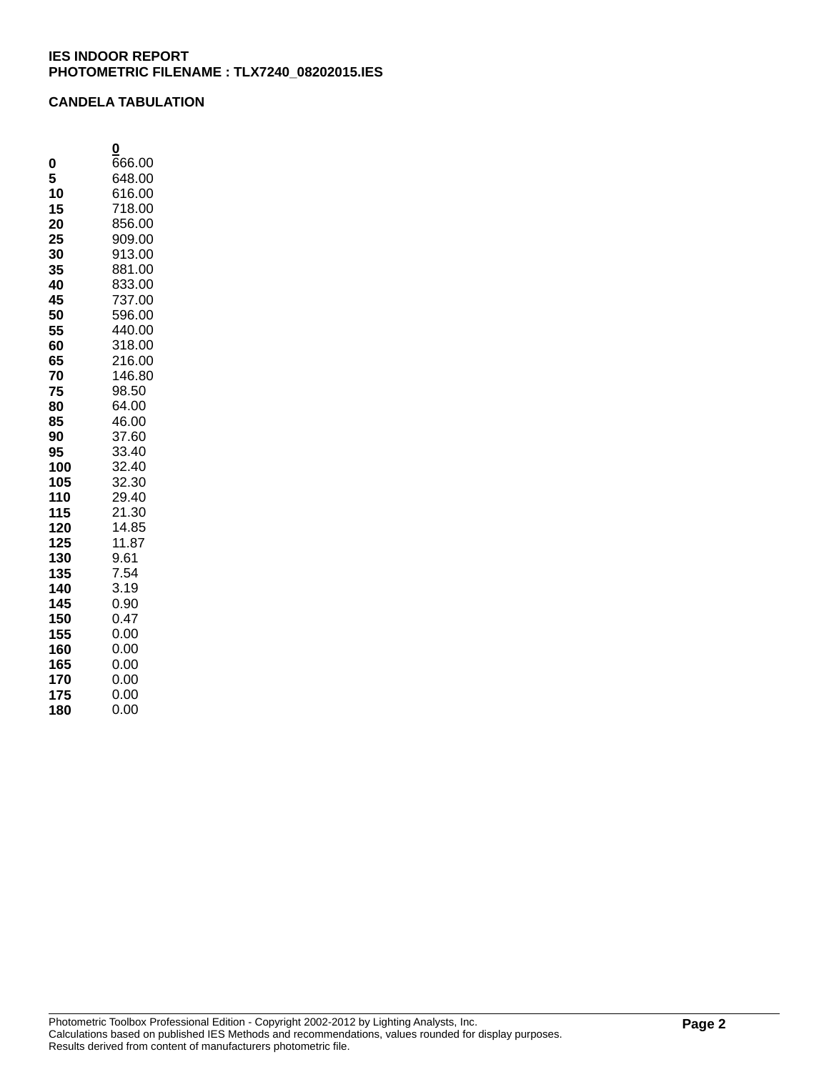## **CANDELA TABULATION**

|     | 0      |
|-----|--------|
| 0   | 666.00 |
| 5   | 648.00 |
| 10  | 616.00 |
| 15  | 718.00 |
| 20  | 856.00 |
| 25  | 909.00 |
| 30  | 913.00 |
| 35  | 881.00 |
| 40  | 833.00 |
| 45  | 737.00 |
| 50  | 596.00 |
| 55  | 440.00 |
| 60  | 318.00 |
| 65  | 216.00 |
| 70  | 146.80 |
| 75  | 98.50  |
| 80  | 64.00  |
| 85  | 46.00  |
| 90  | 37.60  |
| 95  | 33.40  |
| 100 | 32.40  |
| 105 | 32.30  |
| 110 | 29.40  |
| 115 | 21.30  |
| 120 | 14.85  |
| 125 | 11.87  |
| 130 | 9.61   |
| 135 | 7.54   |
| 140 | 3.19   |
| 145 | 0.90   |
| 150 | 0.47   |
| 155 | 0.00   |
| 160 | 0.00   |
| 165 | 0.00   |
| 170 | 0.00   |
| 175 | 0.00   |
| 180 | 0.00   |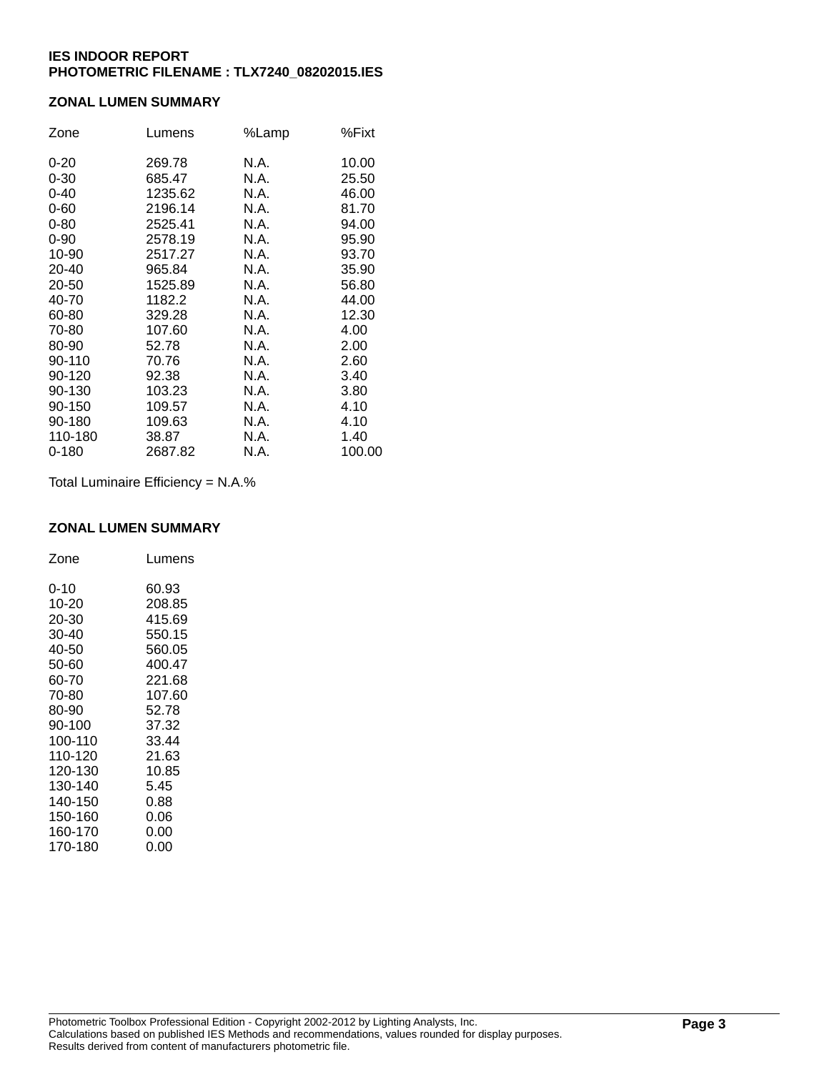# **ZONAL LUMEN SUMMARY**

| Zone     | Lumens  | %Lamp | %Fixt  |
|----------|---------|-------|--------|
| $0 - 20$ | 269.78  | N.A.  | 10.00  |
| $0 - 30$ | 685.47  | N.A.  | 25.50  |
| $0 - 40$ | 1235.62 | N.A.  | 46.00  |
| $0 - 60$ | 2196.14 | N.A.  | 81.70  |
| $0 - 80$ | 2525.41 | N.A.  | 94.00  |
| $0 - 90$ | 2578.19 | N.A.  | 95.90  |
| 10-90    | 2517.27 | N.A.  | 93.70  |
| 20-40    | 965.84  | N.A.  | 35.90  |
| 20-50    | 1525.89 | N.A.  | 56.80  |
| 40-70    | 1182.2  | N.A.  | 44.00  |
| 60-80    | 329.28  | N.A.  | 12.30  |
| 70-80    | 107.60  | N.A.  | 4.00   |
| 80-90    | 52.78   | N.A.  | 2.00   |
| 90-110   | 70.76   | N.A.  | 2.60   |
| 90-120   | 92.38   | N.A.  | 3.40   |
| 90-130   | 103.23  | N.A.  | 3.80   |
| 90-150   | 109.57  | N.A.  | 4.10   |
| 90-180   | 109.63  | N.A.  | 4.10   |
| 110-180  | 38.87   | N.A.  | 1.40   |
| 0-180    | 2687.82 | N.A.  | 100.00 |

Total Luminaire Efficiency = N.A.%

#### **ZONAL LUMEN SUMMARY**

| Zone     | Lumens |
|----------|--------|
| $0 - 10$ | 60.93  |
| 10-20    | 208.85 |
| 20-30    | 415.69 |
| 30-40    | 550.15 |
| 40-50    | 560.05 |
| 50-60    | 400.47 |
| 60-70    | 221.68 |
| 70-80    | 107.60 |
| 80-90    | 52.78  |
| 90-100   | 37.32  |
| 100-110  | 33.44  |
| 110-120  | 21.63  |
| 120-130  | 10.85  |
| 130-140  | 5.45   |
| 140-150  | 0.88   |
| 150-160  | 0.06   |
| 160-170  | 0.00   |
| 170-180  | 0.00   |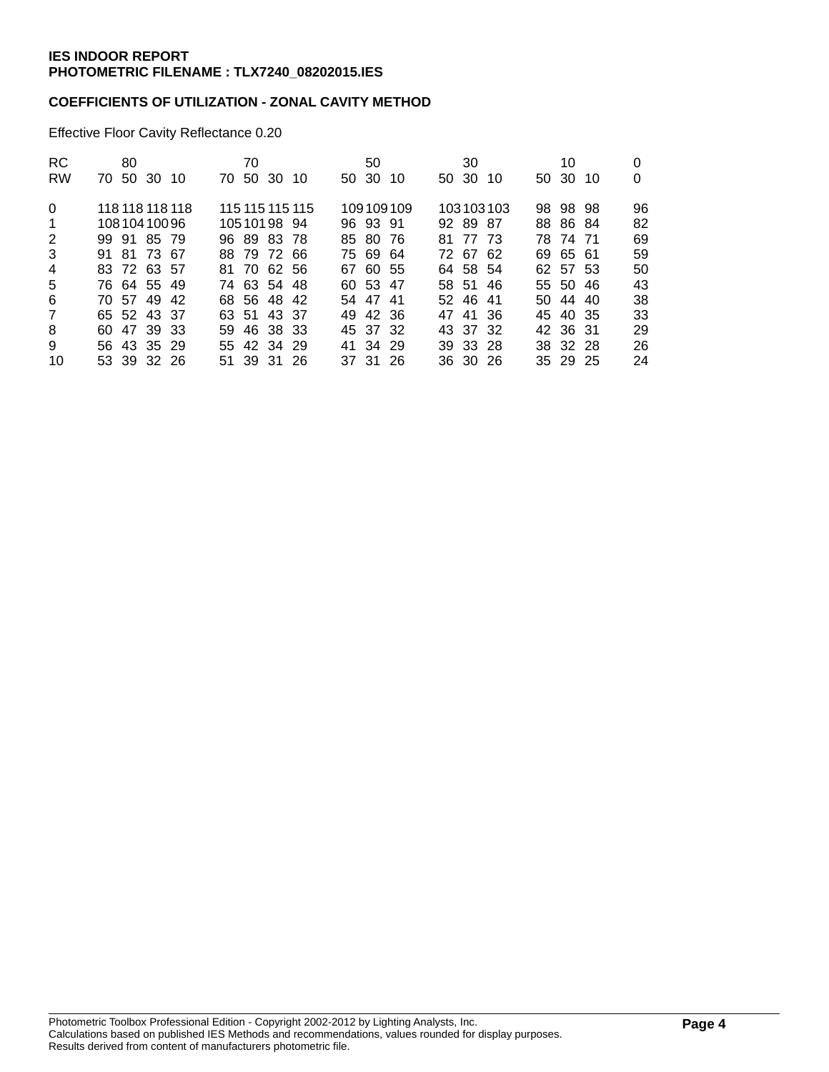# **COEFFICIENTS OF UTILIZATION - ZONAL CAVITY METHOD**

Effective Floor Cavity Reflectance 0.20

| <b>RC</b><br><b>RW</b>  | 80<br>70 50 30 10              |  | 70 | 70 50 30 10 |                 | 50 30 | 50       | -10       | 30<br>50 30 10 |           | 10<br>50 30 10       | 0<br>0   |
|-------------------------|--------------------------------|--|----|-------------|-----------------|-------|----------|-----------|----------------|-----------|----------------------|----------|
| $\Omega$<br>$\mathbf 1$ | 118 118 118 118<br>10810410096 |  |    | 10510198 94 | 115 115 115 115 |       | 96 93 91 | 109109109 | 92 89 87       | 103103103 | 98 98 98<br>88 86 84 | 96<br>82 |
| 2                       | 99 91 85 79                    |  |    | 96 89 83 78 |                 |       | 85 80 76 |           | 81 77 73       |           | 78 74 71             | 69       |
| 3                       | 91 81 73 67                    |  |    | 88 79 72 66 |                 |       | 75 69 64 |           | 72 67 62       |           | 69 65 61             | 59       |
| $\overline{4}$          | 83 72 63 57                    |  |    | 81 70 62 56 |                 |       | 67 60 55 |           | 64 58 54       |           | 62 57 53             | 50       |
| 5                       | 76 64 55 49                    |  |    | 74 63 54 48 |                 |       | 60 53 47 |           | 58 51 46       |           | 55 50 46             | 43       |
| 6                       | 70 57 49 42                    |  |    | 68 56 48 42 |                 |       | 54 47 41 |           | 52 46 41       |           | 50 44 40             | 38       |
| $\overline{7}$          | 65 52 43 37                    |  |    | 63 51 43 37 |                 |       | 49 42 36 |           | 47 41 36       |           | 45 40 35             | 33       |
| 8                       | 60 47 39 33                    |  |    | 59 46 38 33 |                 |       | 45 37 32 |           | 43 37 32       |           | 42 36 31             | 29       |
| 9                       | 56 43 35 29                    |  |    | 55 42 34 29 |                 |       | 41 34 29 |           | 39 33 28       |           | 38 32 28             | 26       |
| 10                      | 53 39 32 26                    |  |    | 51 39 31 26 |                 |       | 37 31 26 |           | 36 30 26       |           | 35 29 25             | 24       |